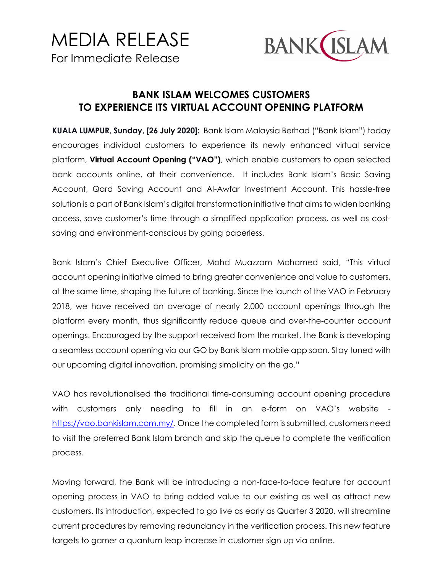

## **BANK ISLAM WELCOMES CUSTOMERS TO EXPERIENCE ITS VIRTUAL ACCOUNT OPENING PLATFORM**

**KUALA LUMPUR, Sunday, [26 July 2020]:** Bank Islam Malaysia Berhad ("Bank Islam") today encourages individual customers to experience its newly enhanced virtual service platform, **Virtual Account Opening ("VAO")**, which enable customers to open selected bank accounts online, at their convenience. It includes Bank Islam's Basic Saving Account, Qard Saving Account and Al-Awfar Investment Account. This hassle-free solution is a part of Bank Islam's digital transformation initiative that aims to widen banking access, save customer's time through a simplified application process, as well as costsaving and environment-conscious by going paperless.

Bank Islam's Chief Executive Officer, Mohd Muazzam Mohamed said, "This virtual account opening initiative aimed to bring greater convenience and value to customers, at the same time, shaping the future of banking. Since the launch of the VAO in February 2018, we have received an average of nearly 2,000 account openings through the platform every month, thus significantly reduce queue and over-the-counter account openings. Encouraged by the support received from the market, the Bank is developing a seamless account opening via our GO by Bank Islam mobile app soon. Stay tuned with our upcoming digital innovation, promising simplicity on the go."

VAO has revolutionalised the traditional time-consuming account opening procedure with customers only needing to fill in an e-form on VAO's website [https://vao.bankislam.com.my/.](https://vao.bankislam.com.my/) Once the completed form is submitted, customers need to visit the preferred Bank Islam branch and skip the queue to complete the verification process.

Moving forward, the Bank will be introducing a non-face-to-face feature for account opening process in VAO to bring added value to our existing as well as attract new customers. Its introduction, expected to go live as early as Quarter 3 2020, will streamline current procedures by removing redundancy in the verification process. This new feature targets to garner a quantum leap increase in customer sign up via online.